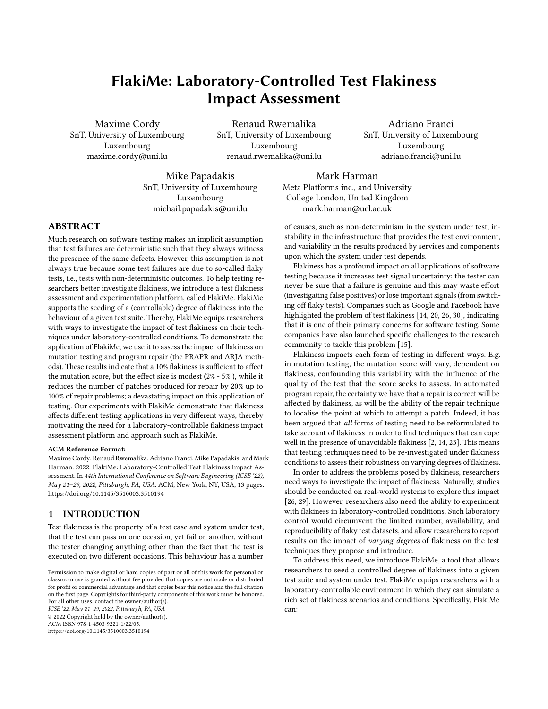# FlakiMe: Laboratory-Controlled Test Flakiness Impact Assessment

Maxime Cordy SnT, University of Luxembourg Luxembourg maxime.cordy@uni.lu

Renaud Rwemalika SnT, University of Luxembourg Luxembourg renaud.rwemalika@uni.lu

Adriano Franci SnT, University of Luxembourg Luxembourg adriano.franci@uni.lu

Mike Papadakis SnT, University of Luxembourg Luxembourg michail.papadakis@uni.lu

Mark Harman Meta Platforms inc., and University College London, United Kingdom mark.harman@ucl.ac.uk

# ABSTRACT

Much research on software testing makes an implicit assumption that test failures are deterministic such that they always witness the presence of the same defects. However, this assumption is not always true because some test failures are due to so-called flaky tests, i.e., tests with non-deterministic outcomes. To help testing researchers better investigate flakiness, we introduce a test flakiness assessment and experimentation platform, called FlakiMe. FlakiMe supports the seeding of a (controllable) degree of flakiness into the behaviour of a given test suite. Thereby, FlakiMe equips researchers with ways to investigate the impact of test flakiness on their techniques under laboratory-controlled conditions. To demonstrate the application of FlakiMe, we use it to assess the impact of flakiness on mutation testing and program repair (the PRAPR and ARJA methods). These results indicate that a 10% flakiness is sufficient to affect the mutation score, but the effect size is modest (2% - 5% ), while it reduces the number of patches produced for repair by 20% up to 100% of repair problems; a devastating impact on this application of testing. Our experiments with FlakiMe demonstrate that flakiness affects different testing applications in very different ways, thereby motivating the need for a laboratory-controllable flakiness impact assessment platform and approach such as FlakiMe.

#### ACM Reference Format:

Maxime Cordy, Renaud Rwemalika, Adriano Franci, Mike Papadakis, and Mark Harman. 2022. FlakiMe: Laboratory-Controlled Test Flakiness Impact Assessment. In 44th International Conference on Software Engineering (ICSE '22), May 21–29, 2022, Pittsburgh, PA, USA. ACM, New York, NY, USA, [13](#page-12-0) pages. <https://doi.org/10.1145/3510003.3510194>

### 1 INTRODUCTION

Test flakiness is the property of a test case and system under test, that the test can pass on one occasion, yet fail on another, without the tester changing anything other than the fact that the test is executed on two different occasions. This behaviour has a number

ICSE '22, May 21–29, 2022, Pittsburgh, PA, USA

© 2022 Copyright held by the owner/author(s). ACM ISBN 978-1-4503-9221-1/22/05.

<https://doi.org/10.1145/3510003.3510194>

of causes, such as non-determinism in the system under test, in-

stability in the infrastructure that provides the test environment, and variability in the results produced by services and components upon which the system under test depends. Flakiness has a profound impact on all applications of software

testing because it increases test signal uncertainty; the tester can never be sure that a failure is genuine and this may waste effort (investigating false positives) or lose important signals (from switching off flaky tests). Companies such as Google and Facebook have highlighted the problem of test flakiness [\[14,](#page-11-0) [20,](#page-11-1) [26,](#page-11-2) [30\]](#page-11-3), indicating that it is one of their primary concerns for software testing. Some companies have also launched specific challenges to the research community to tackle this problem [\[15\]](#page-11-4).

Flakiness impacts each form of testing in different ways. E.g. in mutation testing, the mutation score will vary, dependent on flakiness, confounding this variability with the influence of the quality of the test that the score seeks to assess. In automated program repair, the certainty we have that a repair is correct will be affected by flakiness, as will be the ability of the repair technique to localise the point at which to attempt a patch. Indeed, it has been argued that all forms of testing need to be reformulated to take account of flakiness in order to find techniques that can cope well in the presence of unavoidable flakiness [\[2,](#page-11-5) [14,](#page-11-0) [23\]](#page-11-6). This means that testing techniques need to be re-investigated under flakiness conditions to assess their robustness on varying degrees of flakiness.

In order to address the problems posed by flakiness, researchers need ways to investigate the impact of flakiness. Naturally, studies should be conducted on real-world systems to explore this impact [\[26,](#page-11-2) [29\]](#page-11-7). However, researchers also need the ability to experiment with flakiness in laboratory-controlled conditions. Such laboratory control would circumvent the limited number, availability, and reproducibility of flaky test datasets, and allow researchers to report results on the impact of varying degrees of flakiness on the test techniques they propose and introduce.

To address this need, we introduce FlakiMe, a tool that allows researchers to seed a controlled degree of flakiness into a given test suite and system under test. FlakiMe equips researchers with a laboratory-controllable environment in which they can simulate a rich set of flakiness scenarios and conditions. Specifically, FlakiMe can:

Permission to make digital or hard copies of part or all of this work for personal or classroom use is granted without fee provided that copies are not made or distributed for profit or commercial advantage and that copies bear this notice and the full citation on the first page. Copyrights for third-party components of this work must be honored. For all other uses, contact the owner/author(s).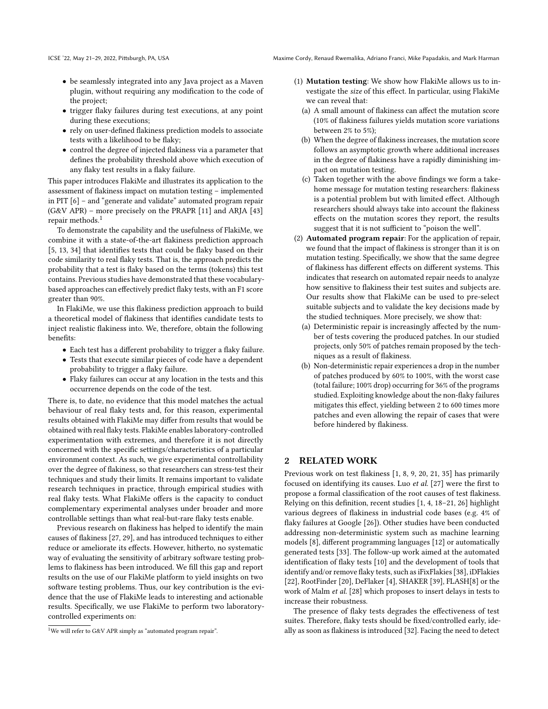- be seamlessly integrated into any Java project as a Maven plugin, without requiring any modification to the code of the project;
- trigger flaky failures during test executions, at any point during these executions;
- rely on user-defined flakiness prediction models to associate tests with a likelihood to be flaky;
- control the degree of injected flakiness via a parameter that defines the probability threshold above which execution of any flaky test results in a flaky failure.

This paper introduces FlakiMe and illustrates its application to the assessment of flakiness impact on mutation testing – implemented in PIT [\[6\]](#page-11-8) – and "generate and validate" automated program repair (G&V APR) – more precisely on the PRAPR [\[11\]](#page-11-9) and ARJA [\[43\]](#page-12-1) repair methods.[1](#page-1-0)

To demonstrate the capability and the usefulness of FlakiMe, we combine it with a state-of-the-art flakiness prediction approach [\[5,](#page-11-10) [13,](#page-11-11) [34\]](#page-11-12) that identifies tests that could be flaky based on their code similarity to real flaky tests. That is, the approach predicts the probability that a test is flaky based on the terms (tokens) this test contains. Previous studies have demonstrated that these vocabularybased approaches can effectively predict flaky tests, with an F1 score greater than 90%.

In FlakiMe, we use this flakiness prediction approach to build a theoretical model of flakiness that identifies candidate tests to inject realistic flakiness into. We, therefore, obtain the following benefits:

- Each test has a different probability to trigger a flaky failure.
- Tests that execute similar pieces of code have a dependent probability to trigger a flaky failure.
- Flaky failures can occur at any location in the tests and this occurrence depends on the code of the test.

There is, to date, no evidence that this model matches the actual behaviour of real flaky tests and, for this reason, experimental results obtained with FlakiMe may differ from results that would be obtained with real flaky tests. FlakiMe enables laboratory-controlled experimentation with extremes, and therefore it is not directly concerned with the specific settings/characteristics of a particular environment context. As such, we give experimental controllability over the degree of flakiness, so that researchers can stress-test their techniques and study their limits. It remains important to validate research techniques in practice, through empirical studies with real flaky tests. What FlakiMe offers is the capacity to conduct complementary experimental analyses under broader and more controllable settings than what real-but-rare flaky tests enable.

Previous research on flakiness has helped to identify the main causes of flakiness [\[27,](#page-11-13) [29\]](#page-11-7), and has introduced techniques to either reduce or ameliorate its effects. However, hitherto, no systematic way of evaluating the sensitivity of arbitrary software testing problems to flakiness has been introduced. We fill this gap and report results on the use of our FlakiMe platform to yield insights on two software testing problems. Thus, our key contribution is the evidence that the use of FlakiMe leads to interesting and actionable results. Specifically, we use FlakiMe to perform two laboratorycontrolled experiments on:

- (1) Mutation testing: We show how FlakiMe allows us to investigate the size of this effect. In particular, using FlakiMe we can reveal that:
	- (a) A small amount of flakiness can affect the mutation score (10% of flakiness failures yields mutation score variations between 2% to 5%);
	- (b) When the degree of flakiness increases, the mutation score follows an asymptotic growth where additional increases in the degree of flakiness have a rapidly diminishing impact on mutation testing.
	- (c) Taken together with the above findings we form a takehome message for mutation testing researchers: flakiness is a potential problem but with limited effect. Although researchers should always take into account the flakiness effects on the mutation scores they report, the results suggest that it is not sufficient to "poison the well".
- (2) Automated program repair: For the application of repair, we found that the impact of flakiness is stronger than it is on mutation testing. Specifically, we show that the same degree of flakiness has different effects on different systems. This indicates that research on automated repair needs to analyze how sensitive to flakiness their test suites and subjects are. Our results show that FlakiMe can be used to pre-select suitable subjects and to validate the key decisions made by the studied techniques. More precisely, we show that:
	- (a) Deterministic repair is increasingly affected by the number of tests covering the produced patches. In our studied projects, only 50% of patches remain proposed by the techniques as a result of flakiness.
	- (b) Non-deterministic repair experiences a drop in the number of patches produced by 60% to 100%, with the worst case (total failure; 100% drop) occurring for 36% of the programs studied. Exploiting knowledge about the non-flaky failures mitigates this effect, yielding between 2 to 600 times more patches and even allowing the repair of cases that were before hindered by flakiness.

## 2 RELATED WORK

Previous work on test flakiness [\[1,](#page-11-14) [8,](#page-11-15) [9,](#page-11-16) [20,](#page-11-1) [21,](#page-11-17) [35\]](#page-11-18) has primarily focused on identifying its causes. Luo et al. [\[27\]](#page-11-13) were the first to propose a formal classification of the root causes of test flakiness. Relying on this definition, recent studies [\[1,](#page-11-14) [4,](#page-11-19) [18](#page-11-20)[–21,](#page-11-17) [26\]](#page-11-2) highlight various degrees of flakiness in industrial code bases (e.g. 4% of flaky failures at Google [\[26\]](#page-11-2)). Other studies have been conducted addressing non-deterministic system such as machine learning models [\[8\]](#page-11-15), different programming languages [\[12\]](#page-11-21) or automatically generated tests [\[33\]](#page-11-22). The follow-up work aimed at the automated identification of flaky tests [\[10\]](#page-11-23) and the development of tools that identify and/or remove flaky tests, such as iFixFlakies [\[38\]](#page-12-2), iDFlakies [\[22\]](#page-11-24), RootFinder [\[20\]](#page-11-1), DeFlaker [\[4\]](#page-11-19), SHAKER [\[39\]](#page-12-3), FLASH[\[8\]](#page-11-15) or the work of Malm et al. [\[28\]](#page-11-25) which proposes to insert delays in tests to increase their robustness.

The presence of flaky tests degrades the effectiveness of test suites. Therefore, flaky tests should be fixed/controlled early, ideally as soon as flakiness is introduced [\[32\]](#page-11-26). Facing the need to detect

<span id="page-1-0"></span><sup>&</sup>lt;sup>1</sup>We will refer to G&V APR simply as "automated program repair".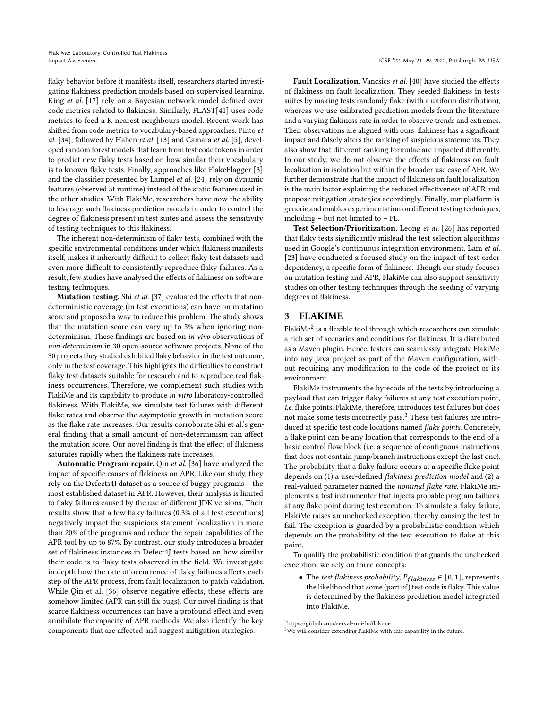flaky behavior before it manifests itself, researchers started investigating flakiness prediction models based on supervised learning. King et al. [\[17\]](#page-11-27) rely on a Bayesian network model defined over code metrics related to flakiness. Similarly, FLAST[\[41\]](#page-12-4) uses code metrics to feed a K-nearest neighbours model. Recent work has shifted from code metrics to vocabulary-based approaches. Pinto et al. [\[34\]](#page-11-12), followed by Haben et al. [\[13\]](#page-11-11) and Camara et al. [\[5\]](#page-11-10), developed random forest models that learn from test code tokens in order to predict new flaky tests based on how similar their vocabulary is to known flaky tests. Finally, approaches like FlakeFlagger [\[3\]](#page-11-28) and the classifier presented by Lampel et al. [\[24\]](#page-11-29) rely on dynamic features (observed at runtime) instead of the static features used in the other studies. With FlakiMe, researchers have now the ability to leverage such flakiness prediction models in order to control the degree of flakiness present in test suites and assess the sensitivity of testing techniques to this flakiness.

The inherent non-determinism of flaky tests, combined with the specific environmental conditions under which flakiness manifests itself, makes it inherently difficult to collect flaky test datasets and even more difficult to consistently reproduce flaky failures. As a result, few studies have analysed the effects of flakiness on software testing techniques.

Mutation testing. Shi et al. [\[37\]](#page-11-30) evaluated the effects that nondeterministic coverage (in test executions) can have on mutation score and proposed a way to reduce this problem. The study shows that the mutation score can vary up to 5% when ignoring nondeterminism. These findings are based on in vivo observations of non-determinism in 30 open-source software projects. None of the 30 projects they studied exhibited flaky behavior in the test outcome, only in the test coverage. This highlights the difficulties to construct flaky test datasets suitable for research and to reproduce real flakiness occurrences. Therefore, we complement such studies with FlakiMe and its capability to produce in vitro laboratory-controlled flakiness. With FlakiMe, we simulate test failures with different flake rates and observe the asymptotic growth in mutation score as the flake rate increases. Our results corroborate Shi et al.'s general finding that a small amount of non-determinism can affect the mutation score. Our novel finding is that the effect of flakiness saturates rapidly when the flakiness rate increases.

Automatic Program repair. Qin et al. [\[36\]](#page-11-31) have analyzed the impact of specific causes of flakiness on APR. Like our study, they rely on the Defects4J dataset as a source of buggy programs – the most established dataset in APR. However, their analysis is limited to flaky failures caused by the use of different JDK versions. Their results show that a few flaky failures (0.3% of all test executions) negatively impact the suspicious statement localization in more than 20% of the programs and reduce the repair capabilities of the APR tool by up to 87%. By contrast, our study introduces a broader set of flakiness instances in Defect4J tests based on how similar their code is to flaky tests observed in the field. We investigate in depth how the rate of occurrence of flaky failures affects each step of the APR process, from fault localization to patch validation. While Qin et al. [\[36\]](#page-11-31) observe negative effects, these effects are somehow limited (APR can still fix bugs). Our novel finding is that scarce flakiness occurrences can have a profound effect and even annihilate the capacity of APR methods. We also identify the key components that are affected and suggest mitigation strategies.

Fault Localization. Vancsics et al. [\[40\]](#page-12-5) have studied the effects of flakiness on fault localization. They seeded flakiness in tests suites by making tests randomly flake (with a uniform distribution), whereas we use calibrated prediction models from the literature and a varying flakiness rate in order to observe trends and extremes. Their observations are aligned with ours: flakiness has a significant impact and falsely alters the ranking of suspicious statements. They also show that different ranking formulae are impacted differently. In our study, we do not observe the effects of flakiness on fault localization in isolation but within the broader use case of APR. We further demonstrate that the impact of flakiness on fault localization is the main factor explaining the reduced effectiveness of APR and propose mitigation strategies accordingly. Finally, our platform is generic and enables experimentation on different testing techniques, including – but not limited to – FL.

Test Selection/Prioritization. Leong et al. [\[26\]](#page-11-2) has reported that flaky tests significantly mislead the test selection algorithms used in Google's continuous integration environment. Lam et al. [\[23\]](#page-11-6) have conducted a focused study on the impact of test order dependency, a specific form of flakiness. Though our study focuses on mutation testing and APR, FlakiMe can also support sensitivity studies on other testing techniques through the seeding of varying degrees of flakiness.

#### 3 FLAKIME

Flaki $\text{Me}^2$  $\text{Me}^2$  is a flexible tool through which researchers can simulate a rich set of scenarios and conditions for flakiness. It is distributed as a Maven plugin. Hence, testers can seamlessly integrate FlakiMe into any Java project as part of the Maven configuration, without requiring any modification to the code of the project or its environment.

FlakiMe instruments the bytecode of the tests by introducing a payload that can trigger flaky failures at any test execution point, i.e. flake points. FlakiMe, therefore, introduces test failures but does not make some tests incorrectly pass.[3](#page-2-1) These test failures are introduced at specific test code locations named flake points. Concretely, a flake point can be any location that corresponds to the end of a basic control flow block (i.e. a sequence of contiguous instructions that does not contain jump/branch instructions except the last one). The probability that a flaky failure occurs at a specific flake point depends on (1) a user-defined flakiness prediction model and (2) a real-valued parameter named the nominal flake rate. FlakiMe implements a test instrumenter that injects probable program failures at any flake point during test execution. To simulate a flaky failure, FlakiMe raises an unchecked exception, thereby causing the test to fail. The exception is guarded by a probabilistic condition which depends on the probability of the test execution to flake at this point.

To qualify the probabilistic condition that guards the unchecked exception, we rely on three concepts:

• The test flakiness probability,  $P_{flakiness} \in [0, 1]$ , represents the likelihood that some (part of) test code is flaky. This value is determined by the flakiness prediction model integrated into FlakiMe.

<span id="page-2-0"></span><sup>2</sup><https://github.com/serval-uni-lu/flakime>

<span id="page-2-1"></span> $3$ We will consider extending FlakiMe with this capability in the future.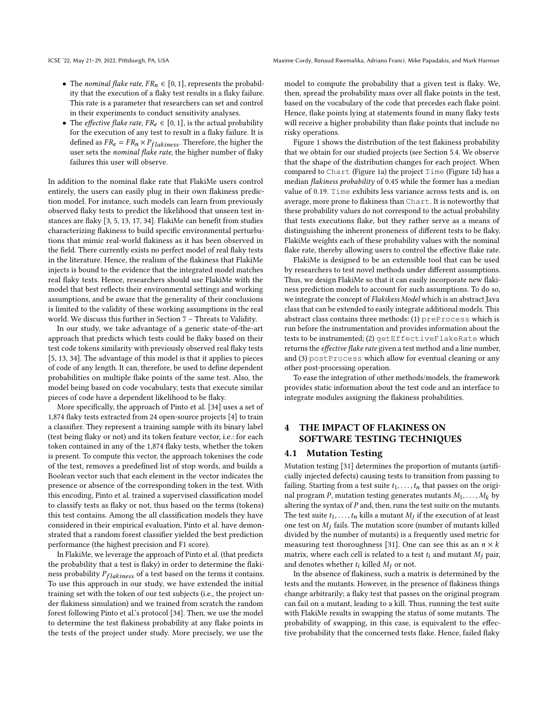- The nominal flake rate,  $FR_n \in [0, 1]$ , represents the probability that the execution of a flaky test results in a flaky failure. This rate is a parameter that researchers can set and control in their experiments to conduct sensitivity analyses.
- The *effective flake rate*,  $FR_e \in [0, 1]$ , is the actual probability for the execution of any test to result in a flaky failure. It is defined as  $FR_e = FR_n \times P_{flakiness}$ . Therefore, the higher the user sets the nominal flake rate, the higher number of flaky failures this user will observe.

In addition to the nominal flake rate that FlakiMe users control entirely, the users can easily plug in their own flakiness prediction model. For instance, such models can learn from previously observed flaky tests to predict the likelihood that unseen test instances are flaky [\[3,](#page-11-28) [5,](#page-11-10) [13,](#page-11-11) [17,](#page-11-27) [34\]](#page-11-12). FlakiMe can benefit from studies characterizing flakiness to build specific environmental perturbations that mimic real-world flakiness as it has been observed in the field. There currently exists no perfect model of real flaky tests in the literature. Hence, the realism of the flakiness that FlakiMe injects is bound to the evidence that the integrated model matches real flaky tests. Hence, researchers should use FlakiMe with the model that best reflects their environmental settings and working assumptions, and be aware that the generality of their conclusions is limited to the validity of these working assumptions in the real world. We discuss this further in Section [7](#page-9-0) – Threats to Validity.

In our study, we take advantage of a generic state-of-the-art approach that predicts which tests could be flaky based on their test code tokens similarity with previously observed real flaky tests [\[5,](#page-11-10) [13,](#page-11-11) [34\]](#page-11-12). The advantage of this model is that it applies to pieces of code of any length. It can, therefore, be used to define dependent probabilities on multiple flake points of the same test. Also, the model being based on code vocabulary, tests that execute similar pieces of code have a dependent likelihood to be flaky.

More specifically, the approach of Pinto et al. [\[34\]](#page-11-12) uses a set of 1,874 flaky tests extracted from 24 open-source projects [\[4\]](#page-11-19) to train a classifier. They represent a training sample with its binary label (test being flaky or not) and its token feature vector, i.e.: for each token contained in any of the 1,874 flaky tests, whether the token is present. To compute this vector, the approach tokenises the code of the test, removes a predefined list of stop words, and builds a Boolean vector such that each element in the vector indicates the presence or absence of the corresponding token in the test. With this encoding, Pinto et al. trained a supervised classification model to classify tests as flaky or not, thus based on the terms (tokens) this test contains. Among the all classification models they have considered in their empirical evaluation, Pinto et al. have demonstrated that a random forest classifier yielded the best prediction performance (the highest precision and F1 score).

In FlakiMe, we leverage the approach of Pinto et al. (that predicts the probability that a test is flaky) in order to determine the flakiness probability  $P_{flakiness}$  of a test based on the terms it contains. To use this approach in our study, we have extended the initial training set with the token of our test subjects (i.e., the project under flakiness simulation) and we trained from scratch the random forest following Pinto et al.'s protocol [\[34\]](#page-11-12). Then, we use the model to determine the test flakiness probability at any flake points in the tests of the project under study. More precisely, we use the

model to compute the probability that a given test is flaky. We, then, spread the probability mass over all flake points in the test, based on the vocabulary of the code that precedes each flake point. Hence, flake points lying at statements found in many flaky tests will receive a higher probability than flake points that include no risky operations.

Figure [1](#page-4-0) shows the distribution of the test flakiness probability that we obtain for our studied projects (see Section [5.4.](#page-6-0) We observe that the shape of the distribution changes for each project. When compared to Chart (Figure [1a\)](#page-4-1) the project Time (Figure [1d\)](#page-4-2) has a median flakiness probability of 0.45 while the former has a median value of 0.19. Time exhibits less variance across tests and is, on average, more prone to flakiness than Chart. It is noteworthy that these probability values do not correspond to the actual probability that tests executions flake, but they rather serve as a means of distinguishing the inherent proneness of different tests to be flaky. FlakiMe weights each of these probability values with the nominal flake rate, thereby allowing users to control the effective flake rate.

FlakiMe is designed to be an extensible tool that can be used by researchers to test novel methods under different assumptions. Thus, we design FlakiMe so that it can easily incorporate new flakiness prediction models to account for such assumptions. To do so, we integrate the concept of Flakikess Model which is an abstract Java class that can be extended to easily integrate additional models. This abstract class contains three methods: (1) preProcess which is run before the instrumentation and provides information about the tests to be instrumented; (2) getEffectiveFlakeRate which returns the effective flake rate given a test method and a line number, and (3) postProcess which allow for eventual cleaning or any other post-processing operation.

To ease the integration of other methods/models, the framework provides static information about the test code and an interface to integrate modules assigning the flakiness probabilities.

# THE IMPACT OF FLAKINESS ON SOFTWARE TESTING TECHNIQUES

#### 4.1 Mutation Testing

Mutation testing [\[31\]](#page-11-32) determines the proportion of mutants (artificially injected defects) causing tests to transition from passing to failing. Starting from a test suite  $t_1, \ldots, t_n$  that passes on the original program P, mutation testing generates mutants  $M_1, \ldots, M_k$  by altering the syntax of  $P$  and, then, runs the test suite on the mutants. The test suite  $t_1, \ldots, t_n$  kills a mutant  $M_j$  if the execution of at least one test on  $M_i$  fails. The mutation score (number of mutants killed divided by the number of mutants) is a frequently used metric for measuring test thoroughness [\[31\]](#page-11-32). One can see this as an  $n \times k$ matrix, where each cell is related to a test  $t_i$  and mutant  $M_i$  pair, and denotes whether  $t_i$  killed  $M_i$  or not.

In the absence of flakiness, such a matrix is determined by the tests and the mutants. However, in the presence of flakiness things change arbitrarily; a flaky test that passes on the original program can fail on a mutant, leading to a kill. Thus, running the test suite with FlakiMe results in swapping the status of some mutants. The probability of swapping, in this case, is equivalent to the effective probability that the concerned tests flake. Hence, failed flaky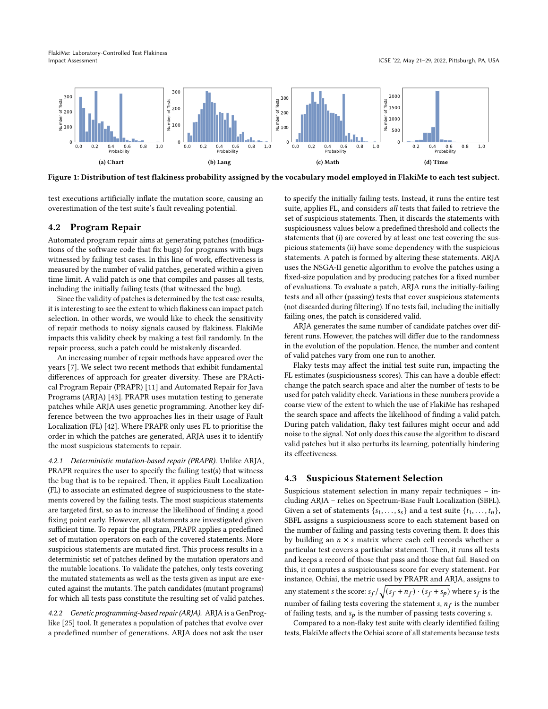FlakiMe: Laboratory-Controlled Test Flakiness Impact Assessment ICSE '22, May 21–29, 2022, Pittsburgh, PA, USA

<span id="page-4-1"></span><span id="page-4-0"></span>

Figure 1: Distribution of test flakiness probability assigned by the vocabulary model employed in FlakiMe to each test subject.

test executions artificially inflate the mutation score, causing an overestimation of the test suite's fault revealing potential.

# 4.2 Program Repair

Automated program repair aims at generating patches (modifications of the software code that fix bugs) for programs with bugs witnessed by failing test cases. In this line of work, effectiveness is measured by the number of valid patches, generated within a given time limit. A valid patch is one that compiles and passes all tests, including the initially failing tests (that witnessed the bug).

Since the validity of patches is determined by the test case results, it is interesting to see the extent to which flakiness can impact patch selection. In other words, we would like to check the sensitivity of repair methods to noisy signals caused by flakiness. FlakiMe impacts this validity check by making a test fail randomly. In the repair process, such a patch could be mistakenly discarded.

An increasing number of repair methods have appeared over the years [\[7\]](#page-11-33). We select two recent methods that exhibit fundamental differences of approach for greater diversity. These are PRActical Program Repair (PRAPR) [\[11\]](#page-11-9) and Automated Repair for Java Programs (ARJA) [\[43\]](#page-12-1). PRAPR uses mutation testing to generate patches while ARJA uses genetic programming. Another key difference between the two approaches lies in their usage of Fault Localization (FL) [\[42\]](#page-12-6). Where PRAPR only uses FL to prioritise the order in which the patches are generated, ARJA uses it to identify the most suspicious statements to repair.

4.2.1 Deterministic mutation-based repair (PRAPR). Unlike ARJA, PRAPR requires the user to specify the failing test(s) that witness the bug that is to be repaired. Then, it applies Fault Localization (FL) to associate an estimated degree of suspiciousness to the statements covered by the failing tests. The most suspicious statements are targeted first, so as to increase the likelihood of finding a good fixing point early. However, all statements are investigated given sufficient time. To repair the program, PRAPR applies a predefined set of mutation operators on each of the covered statements. More suspicious statements are mutated first. This process results in a deterministic set of patches defined by the mutation operators and the mutable locations. To validate the patches, only tests covering the mutated statements as well as the tests given as input are executed against the mutants. The patch candidates (mutant programs) for which all tests pass constitute the resulting set of valid patches.

4.2.2 Genetic programming-based repair (ARJA). ARJA is a GenProglike [\[25\]](#page-11-34) tool. It generates a population of patches that evolve over a predefined number of generations. ARJA does not ask the user

<span id="page-4-2"></span>to specify the initially failing tests. Instead, it runs the entire test suite, applies FL, and considers all tests that failed to retrieve the set of suspicious statements. Then, it discards the statements with suspiciousness values below a predefined threshold and collects the statements that (i) are covered by at least one test covering the suspicious statements (ii) have some dependency with the suspicious statements. A patch is formed by altering these statements. ARJA uses the NSGA-II genetic algorithm to evolve the patches using a fixed-size population and by producing patches for a fixed number of evaluations. To evaluate a patch, ARJA runs the initially-failing tests and all other (passing) tests that cover suspicious statements (not discarded during filtering). If no tests fail, including the initially failing ones, the patch is considered valid.

ARJA generates the same number of candidate patches over different runs. However, the patches will differ due to the randomness in the evolution of the population. Hence, the number and content of valid patches vary from one run to another.

Flaky tests may affect the initial test suite run, impacting the FL estimates (suspiciousness scores). This can have a double effect: change the patch search space and alter the number of tests to be used for patch validity check. Variations in these numbers provide a coarse view of the extent to which the use of FlakiMe has reshaped the search space and affects the likelihood of finding a valid patch. During patch validation, flaky test failures might occur and add noise to the signal. Not only does this cause the algorithm to discard valid patches but it also perturbs its learning, potentially hindering its effectiveness.

## 4.3 Suspicious Statement Selection

Suspicious statement selection in many repair techniques – including ARJA – relies on Spectrum-Base Fault Localization (SBFL). Given a set of statements  $\{s_1, \ldots, s_s\}$  and a test suite  $\{t_1, \ldots, t_n\}$ , SBFL assigns a suspiciousness score to each statement based on the number of failing and passing tests covering them. It does this by building an  $n \times s$  matrix where each cell records whether a particular test covers a particular statement. Then, it runs all tests and keeps a record of those that pass and those that fail. Based on this, it computes a suspiciousness score for every statement. For instance, Ochiai, the metric used by PRAPR and ARJA, assigns to any statement s the score:  $s_f/\sqrt{(s_f + n_f) \cdot (s_f + s_p)}$  where  $s_f$  is the number of failing tests covering the statement s,  $n_f$  is the number of failing tests, and  $s_p$  is the number of passing tests covering s.

Compared to a non-flaky test suite with clearly identified failing tests, FlakiMe affects the Ochiai score of all statements because tests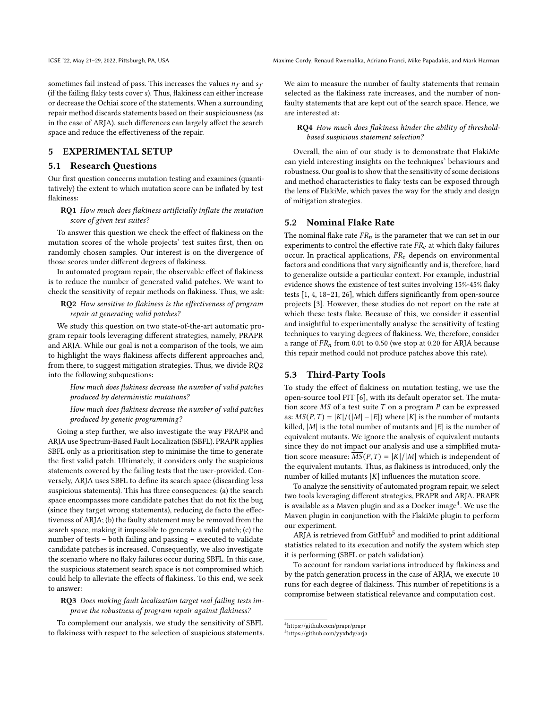ICSE '22, May 21-29, 2022, Pittsburgh, PA, USA Maxime Cordy, Renaud Rwemalika, Adriano Franci, Mike Papadakis, and Mark Harman

sometimes fail instead of pass. This increases the values  $n_f$  and  $s_f$ (if the failing flaky tests cover s). Thus, flakiness can either increase or decrease the Ochiai score of the statements. When a surrounding repair method discards statements based on their suspiciousness (as in the case of ARJA), such differences can largely affect the search space and reduce the effectiveness of the repair.

## 5 EXPERIMENTAL SETUP

#### 5.1 Research Questions

Our first question concerns mutation testing and examines (quantitatively) the extent to which mutation score can be inflated by test flakiness:

## RQ1 How much does flakiness artificially inflate the mutation score of given test suites?

To answer this question we check the effect of flakiness on the mutation scores of the whole projects' test suites first, then on randomly chosen samples. Our interest is on the divergence of those scores under different degrees of flakiness.

In automated program repair, the observable effect of flakiness is to reduce the number of generated valid patches. We want to check the sensitivity of repair methods on flakiness. Thus, we ask:

RQ2 How sensitive to flakiness is the effectiveness of program repair at generating valid patches?

We study this question on two state-of-the-art automatic program repair tools leveraging different strategies, namely, PRAPR and ARJA. While our goal is not a comparison of the tools, we aim to highlight the ways flakiness affects different approaches and, from there, to suggest mitigation strategies. Thus, we divide RQ2 into the following subquestions:

How much does flakiness decrease the number of valid patches produced by deterministic mutations?

How much does flakiness decrease the number of valid patches produced by genetic programming?

Going a step further, we also investigate the way PRAPR and ARJA use Spectrum-Based Fault Localization (SBFL). PRAPR applies SBFL only as a prioritisation step to minimise the time to generate the first valid patch. Ultimately, it considers only the suspicious statements covered by the failing tests that the user-provided. Conversely, ARJA uses SBFL to define its search space (discarding less suspicious statements). This has three consequences: (a) the search space encompasses more candidate patches that do not fix the bug (since they target wrong statements), reducing de facto the effectiveness of ARJA; (b) the faulty statement may be removed from the search space, making it impossible to generate a valid patch; (c) the number of tests – both failing and passing – executed to validate candidate patches is increased. Consequently, we also investigate the scenario where no flaky failures occur during SBFL. In this case, the suspicious statement search space is not compromised which could help to alleviate the effects of flakiness. To this end, we seek to answer:

#### RQ3 Does making fault localization target real failing tests improve the robustness of program repair against flakiness?

To complement our analysis, we study the sensitivity of SBFL to flakiness with respect to the selection of suspicious statements. We aim to measure the number of faulty statements that remain selected as the flakiness rate increases, and the number of nonfaulty statements that are kept out of the search space. Hence, we are interested at:

#### RQ4 How much does flakiness hinder the ability of thresholdbased suspicious statement selection?

Overall, the aim of our study is to demonstrate that FlakiMe can yield interesting insights on the techniques' behaviours and robustness. Our goal is to show that the sensitivity of some decisions and method characteristics to flaky tests can be exposed through the lens of FlakiMe, which paves the way for the study and design of mitigation strategies.

#### 5.2 Nominal Flake Rate

The nominal flake rate  $FR_n$  is the parameter that we can set in our experiments to control the effective rate  $FR_e$  at which flaky failures occur. In practical applications,  $FR_e$  depends on environmental factors and conditions that vary significantly and is, therefore, hard to generalize outside a particular context. For example, industrial evidence shows the existence of test suites involving 15%-45% flaky tests [\[1,](#page-11-14) [4,](#page-11-19) [18–](#page-11-20)[21,](#page-11-17) [26\]](#page-11-2), which differs significantly from open-source projects [\[3\]](#page-11-28). However, these studies do not report on the rate at which these tests flake. Because of this, we consider it essential and insightful to experimentally analyse the sensitivity of testing techniques to varying degrees of flakiness. We, therefore, consider a range of  $FR_n$  from 0.01 to 0.50 (we stop at 0.20 for ARJA because this repair method could not produce patches above this rate).

## 5.3 Third-Party Tools

To study the effect of flakiness on mutation testing, we use the open-source tool PIT [\[6\]](#page-11-8), with its default operator set. The mutation score  $MS$  of a test suite  $T$  on a program  $P$  can be expressed as:  $MS(P, T) = |K|/(|M| - |E|)$  where |K| is the number of mutants killed, |M| is the total number of mutants and  $|E|$  is the number of equivalent mutants. We ignore the analysis of equivalent mutants since they do not impact our analysis and use a simplified mutation score measure:  $\overline{MS}(P, T) = |K|/|M|$  which is independent of the equivalent mutants. Thus, as flakiness is introduced, only the number of killed mutants  $|K|$  influences the mutation score.

To analyze the sensitivity of automated program repair, we select two tools leveraging different strategies, PRAPR and ARJA. PRAPR is available as a Maven plugin and as a Docker image $\rm ^4.$  $\rm ^4.$  $\rm ^4.$  We use the Maven plugin in conjunction with the FlakiMe plugin to perform our experiment.

ARJA is retrieved from GitHub $^5$  $^5$  and modified to print additional statistics related to its execution and notify the system which step it is performing (SBFL or patch validation).

To account for random variations introduced by flakiness and by the patch generation process in the case of ARJA, we execute 10 runs for each degree of flakiness. This number of repetitions is a compromise between statistical relevance and computation cost.

<span id="page-5-0"></span><sup>4</sup><https://github.com/prapr/prapr>

<span id="page-5-1"></span><sup>5</sup><https://github.com/yyxhdy/arja>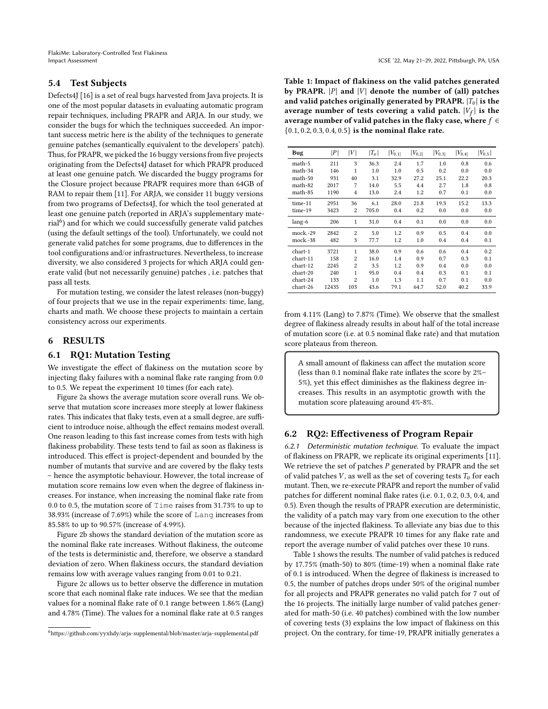FlakiMe: Laboratory-Controlled Test Flakiness Impact Assessment ICSE '22, May 21–29, 2022, Pittsburgh, PA, USA

# <span id="page-6-0"></span>5.4 Test Subjects

Defects4J [\[16\]](#page-11-35) is a set of real bugs harvested from Java projects. It is one of the most popular datasets in evaluating automatic program repair techniques, including PRAPR and ARJA. In our study, we consider the bugs for which the techniques succeeded. An important success metric here is the ability of the techniques to generate genuine patches (semantically equivalent to the developers' patch). Thus, for PRAPR, we picked the 16 buggy versions from five projects originating from the Defects4J dataset for which PRAPR produced at least one genuine patch. We discarded the buggy programs for the Closure project because PRAPR requires more than 64GB of RAM to repair them [\[11\]](#page-11-9). For ARJA, we consider 11 buggy versions from two programs of Defects4J, for which the tool generated at least one genuine patch (reported in ARJA's supplementary mate-rial<sup>[6](#page-6-1)</sup>) and for which we could successfully generate valid patches (using the default settings of the tool). Unfortunately, we could not generate valid patches for some programs, due to differences in the tool configurations and/or infrastructures. Nevertheless, to increase diversity, we also considered 3 projects for which ARJA could generate valid (but not necessarily genuine) patches , i.e. patches that pass all tests.

For mutation testing, we consider the latest releases (non-buggy) of four projects that we use in the repair experiments: time, lang, charts and math. We choose these projects to maintain a certain consistency across our experiments.

# 6 RESULTS

# 6.1 RQ1: Mutation Testing

We investigate the effect of flakiness on the mutation score by injecting flaky failures with a nominal flake rate ranging from 0.0 to 0.5. We repeat the experiment 10 times (for each rate).

Figure [2a](#page-7-0) shows the average mutation score overall runs. We observe that mutation score increases more steeply at lower flakiness rates. This indicates that flaky tests, even at a small degree, are sufficient to introduce noise, although the effect remains modest overall. One reason leading to this fast increase comes from tests with high flakiness probability. These tests tend to fail as soon as flakiness is introduced. This effect is project-dependent and bounded by the number of mutants that survive and are covered by the flaky tests – hence the asymptotic behaviour. However, the total increase of mutation score remains low even when the degree of flakiness increases. For instance, when increasing the nominal flake rate from 0.0 to 0.5, the mutation score of Time raises from 31.73% to up to 38.93% (increase of 7.69%) while the score of Lang increases from 85.58% to up to 90.57% (increase of 4.99%).

Figure [2b](#page-7-1) shows the standard deviation of the mutation score as the nominal flake rate increases. Without flakiness, the outcome of the tests is deterministic and, therefore, we observe a standard deviation of zero. When flakiness occurs, the standard deviation remains low with average values ranging from 0.01 to 0.21.

Figure [2c](#page-7-2) allows us to better observe the difference in mutation score that each nominal flake rate induces. We see that the median values for a nominal flake rate of 0.1 range between 1.86% (Lang) and 4.78% (Time). The values for a nominal flake rate at 0.5 ranges

<span id="page-6-2"></span>Table 1: Impact of flakiness on the valid patches generated by PRAPR.  $|P|$  and  $|V|$  denote the number of (all) patches and valid patches originally generated by PRAPR.  $|T_v|$  is the average number of tests covering a valid patch.  $|V_f|$  is the average number of valid patches in the flaky case, where  $f \in$ {0.1, 0.2, 0.3, 0.4, 0.5} is the nominal flake rate.

| Bug        | P     | V              | $ T_v $ | $ V_{0.1} $ | $ V_{0.2} $ | $ V_{0.3} $ | $ V_{0.4} $ | $ V_{0.5} $ |
|------------|-------|----------------|---------|-------------|-------------|-------------|-------------|-------------|
| math-5     | 211   | 3              | 36.3    | 2.4         | 1.7         | 1.0         | 0.8         | 0.6         |
| math-34    | 146   | 1              | 1.0     | 1.0         | 0.5         | 0.2         | 0.0         | 0.0         |
| math-50    | 931   | 40             | 3.1     | 32.9        | 27.2        | 25.1        | 22.2        | 20.3        |
| math-82    | 2017  | 7              | 14.0    | 5.5         | 4.4         | 2.7         | 1.8         | 0.8         |
| math-85    | 1190  | $\overline{4}$ | 13.0    | 2.4         | 1.2         | 0.7         | 0.1         | 0.0         |
| time-11    | 2951  | 36             | 6.1     | 28.0        | 21.8        | 19.3        | 15.2        | 13.3        |
| time-19    | 3423  | 2              | 705.0   | 0.4         | 0.2         | 0.0         | 0.0         | 0.0         |
| lang-6     | 206   | $\mathbf{1}$   | 31.0    | 0.4         | 0.1         | 0.0         | 0.0         | 0.0         |
| $mock.-29$ | 2842  | $\overline{2}$ | 5.0     | 1.2         | 0.9         | 0.5         | 0.4         | 0.0         |
| mock.-38   | 482   | 3              | 77.7    | 1.2         | 1.0         | 0.4         | 0.4         | 0.1         |
| chart-1    | 3721  | 1              | 38.0    | 0.9         | 0.6         | 0.6         | 0.4         | 0.2         |
| chart-11   | 158   | $\overline{c}$ | 16.0    | 1.4         | 0.9         | 0.7         | 0.3         | 0.1         |
| chart-12   | 2245  | $\overline{2}$ | 3.5     | 1.2         | 0.9         | 0.4         | 0.0         | 0.0         |
| chart-20   | 240   | 1              | 95.0    | 0.4         | 0.4         | 0.3         | 0.1         | 0.1         |
| chart-24   | 133   | $\overline{2}$ | 1.0     | 1.3         | 1.1         | 0.7         | 0.1         | 0.0         |
| chart-26   | 12435 | 103            | 43.6    | 79.1        | 64.7        | 52.0        | 40.2        | 33.9        |

from 4.11% (Lang) to 7.87% (Time). We observe that the smallest degree of flakiness already results in about half of the total increase of mutation score (i.e. at 0.5 nominal flake rate) and that mutation score plateaus from thereon.

A small amount of flakiness can affect the mutation score (less than 0.1 nominal flake rate inflates the score by 2%– 5%), yet this effect diminishes as the flakiness degree increases. This results in an asymptotic growth with the mutation score plateauing around 4%-8%.

# 6.2 RQ2: Effectiveness of Program Repair

6.2.1 Deterministic mutation technique. To evaluate the impact of flakiness on PRAPR, we replicate its original experiments [\[11\]](#page-11-9). We retrieve the set of patches  $P$  generated by PRAPR and the set of valid patches  $V$ , as well as the set of covering tests  $T_v$  for each mutant. Then, we re-execute PRAPR and report the number of valid patches for different nominal flake rates (i.e. 0.1, 0.2, 0.3, 0.4, and 0.5). Even though the results of PRAPR execution are deterministic, the validity of a patch may vary from one execution to the other because of the injected flakiness. To alleviate any bias due to this randomness, we execute PRAPR 10 times for any flake rate and report the average number of valid patches over these 10 runs.

Table [1](#page-6-2) shows the results. The number of valid patches is reduced by 17.75% (math-50) to 80% (time-19) when a nominal flake rate of 0.1 is introduced. When the degree of flakiness is increased to 0.5, the number of patches drops under 50% of the original number for all projects and PRAPR generates no valid patch for 7 out of the 16 projects. The initially large number of valid patches generated for math-50 (i.e. 40 patches) combined with the low number of covering tests (3) explains the low impact of flakiness on this project. On the contrary, for time-19, PRAPR initially generates a

<span id="page-6-1"></span><sup>6</sup><https://github.com/yyxhdy/arja-supplemental/blob/master/arja-supplemental.pdf>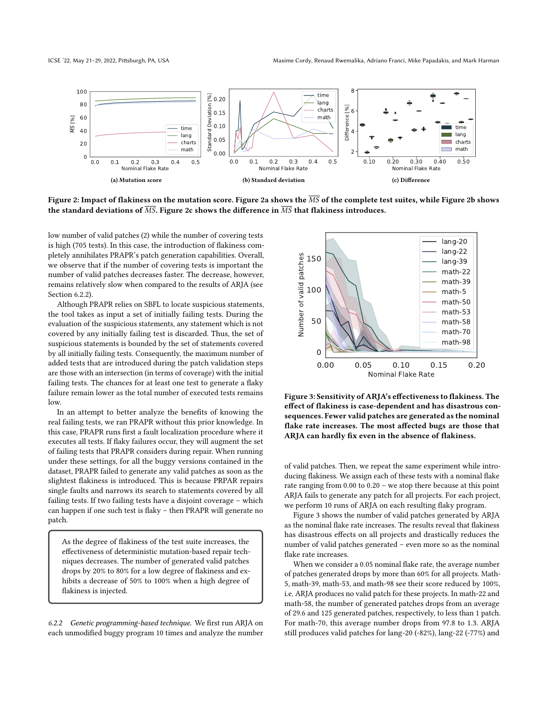<span id="page-7-0"></span>

Figure 2: Impact of flakiness on the mutation score. Figure [2a](#page-7-0) shows the MS of the complete test suites, while Figure [2b](#page-7-1) shows the standard deviations of  $\overline{MS}$ . Figure [2c](#page-7-2) shows the difference in  $\overline{MS}$  that flakiness introduces.

low number of valid patches (2) while the number of covering tests is high (705 tests). In this case, the introduction of flakiness completely annihilates PRAPR's patch generation capabilities. Overall, we observe that if the number of covering tests is important the number of valid patches decreases faster. The decrease, however, remains relatively slow when compared to the results of ARJA (see Section [6.2.2\)](#page-7-3).

Although PRAPR relies on SBFL to locate suspicious statements, the tool takes as input a set of initially failing tests. During the evaluation of the suspicious statements, any statement which is not covered by any initially failing test is discarded. Thus, the set of suspicious statements is bounded by the set of statements covered by all initially failing tests. Consequently, the maximum number of added tests that are introduced during the patch validation steps are those with an intersection (in terms of coverage) with the initial failing tests. The chances for at least one test to generate a flaky failure remain lower as the total number of executed tests remains low.

In an attempt to better analyze the benefits of knowing the real failing tests, we ran PRAPR without this prior knowledge. In this case, PRAPR runs first a fault localization procedure where it executes all tests. If flaky failures occur, they will augment the set of failing tests that PRAPR considers during repair. When running under these settings, for all the buggy versions contained in the dataset, PRAPR failed to generate any valid patches as soon as the slightest flakiness is introduced. This is because PRPAR repairs single faults and narrows its search to statements covered by all failing tests. If two failing tests have a disjoint coverage – which can happen if one such test is flaky – then PRAPR will generate no patch.

As the degree of flakiness of the test suite increases, the effectiveness of deterministic mutation-based repair techniques decreases. The number of generated valid patches drops by 20% to 80% for a low degree of flakiness and exhibits a decrease of 50% to 100% when a high degree of flakiness is injected.

<span id="page-7-3"></span>6.2.2 Genetic programming-based technique. We first run ARJA on each unmodified buggy program 10 times and analyze the number

<span id="page-7-4"></span><span id="page-7-2"></span><span id="page-7-1"></span>

Figure 3: Sensitivity of ARJA's effectiveness to flakiness. The effect of flakiness is case-dependent and has disastrous consequences. Fewer valid patches are generated as the nominal flake rate increases. The most affected bugs are those that ARJA can hardly fix even in the absence of flakiness.

of valid patches. Then, we repeat the same experiment while introducing flakiness. We assign each of these tests with a nominal flake rate ranging from 0.00 to 0.20 – we stop there because at this point ARJA fails to generate any patch for all projects. For each project, we perform 10 runs of ARJA on each resulting flaky program.

Figure [3](#page-7-4) shows the number of valid patches generated by ARJA as the nominal flake rate increases. The results reveal that flakiness has disastrous effects on all projects and drastically reduces the number of valid patches generated – even more so as the nominal flake rate increases.

When we consider a 0.05 nominal flake rate, the average number of patches generated drops by more than 60% for all projects. Math-5, math-39, math-53, and math-98 see their score reduced by 100%, i.e. ARJA produces no valid patch for these projects. In math-22 and math-58, the number of generated patches drops from an average of 29.6 and 125 generated patches, respectively, to less than 1 patch. For math-70, this average number drops from 97.8 to 1.3. ARJA still produces valid patches for lang-20 (-82%), lang-22 (-77%) and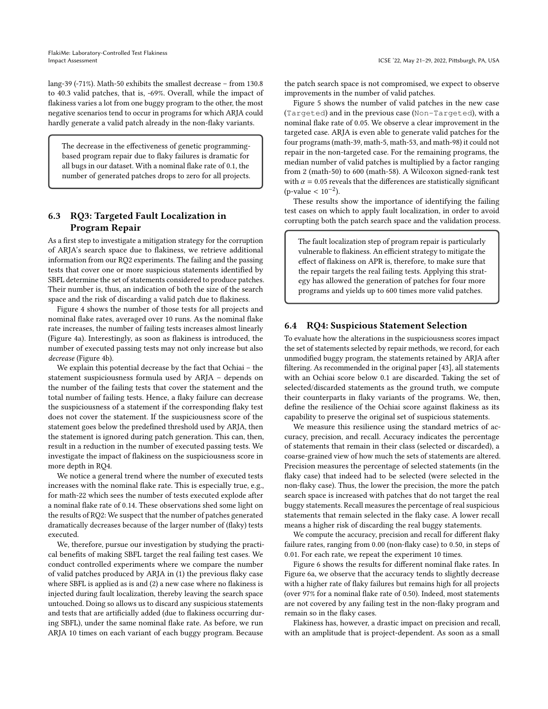lang-39 (-71%). Math-50 exhibits the smallest decrease – from 130.8 to 40.3 valid patches, that is, -69%. Overall, while the impact of flakiness varies a lot from one buggy program to the other, the most negative scenarios tend to occur in programs for which ARJA could hardly generate a valid patch already in the non-flaky variants.

The decrease in the effectiveness of genetic programmingbased program repair due to flaky failures is dramatic for all bugs in our dataset. With a nominal flake rate of 0.1, the number of generated patches drops to zero for all projects.

# 6.3 RQ3: Targeted Fault Localization in Program Repair

As a first step to investigate a mitigation strategy for the corruption of ARJA's search space due to flakiness, we retrieve additional information from our RQ2 experiments. The failing and the passing tests that cover one or more suspicious statements identified by SBFL determine the set of statements considered to produce patches. Their number is, thus, an indication of both the size of the search space and the risk of discarding a valid patch due to flakiness.

Figure [4](#page-9-1) shows the number of those tests for all projects and nominal flake rates, averaged over 10 runs. As the nominal flake rate increases, the number of failing tests increases almost linearly (Figure [4a\)](#page-9-2). Interestingly, as soon as flakiness is introduced, the number of executed passing tests may not only increase but also decrease (Figure [4b\)](#page-9-3).

We explain this potential decrease by the fact that Ochiai – the statement suspiciousness formula used by ARJA – depends on the number of the failing tests that cover the statement and the total number of failing tests. Hence, a flaky failure can decrease the suspiciousness of a statement if the corresponding flaky test does not cover the statement. If the suspiciousness score of the statement goes below the predefined threshold used by ARJA, then the statement is ignored during patch generation. This can, then, result in a reduction in the number of executed passing tests. We investigate the impact of flakiness on the suspiciousness score in more depth in RQ4.

We notice a general trend where the number of executed tests increases with the nominal flake rate. This is especially true, e.g., for math-22 which sees the number of tests executed explode after a nominal flake rate of 0.14. These observations shed some light on the results of RQ2: We suspect that the number of patches generated dramatically decreases because of the larger number of (flaky) tests executed.

We, therefore, pursue our investigation by studying the practical benefits of making SBFL target the real failing test cases. We conduct controlled experiments where we compare the number of valid patches produced by ARJA in (1) the previous flaky case where SBFL is applied as is and (2) a new case where no flakiness is injected during fault localization, thereby leaving the search space untouched. Doing so allows us to discard any suspicious statements and tests that are artificially added (due to flakiness occurring during SBFL), under the same nominal flake rate. As before, we run ARJA 10 times on each variant of each buggy program. Because

the patch search space is not compromised, we expect to observe improvements in the number of valid patches.

Figure [5](#page-9-4) shows the number of valid patches in the new case (Targeted) and in the previous case (Non-Targeted), with a nominal flake rate of 0.05. We observe a clear improvement in the targeted case. ARJA is even able to generate valid patches for the four programs (math-39, math-5, math-53, and math-98) it could not repair in the non-targeted case. For the remaining programs, the median number of valid patches is multiplied by a factor ranging from 2 (math-50) to 600 (math-58). A Wilcoxon signed-rank test with  $\alpha$  = 0.05 reveals that the differences are statistically significant  $(p$ -value <  $10^{-2}$ ).

These results show the importance of identifying the failing test cases on which to apply fault localization, in order to avoid corrupting both the patch search space and the validation process.

The fault localization step of program repair is particularly vulnerable to flakiness. An efficient strategy to mitigate the effect of flakiness on APR is, therefore, to make sure that the repair targets the real failing tests. Applying this strategy has allowed the generation of patches for four more programs and yields up to 600 times more valid patches.

#### 6.4 RQ4: Suspicious Statement Selection

To evaluate how the alterations in the suspiciousness scores impact the set of statements selected by repair methods, we record, for each unmodified buggy program, the statements retained by ARJA after filtering. As recommended in the original paper [\[43\]](#page-12-1), all statements with an Ochiai score below 0.1 are discarded. Taking the set of selected/discarded statements as the ground truth, we compute their counterparts in flaky variants of the programs. We, then, define the resilience of the Ochiai score against flakiness as its capability to preserve the original set of suspicious statements.

We measure this resilience using the standard metrics of accuracy, precision, and recall. Accuracy indicates the percentage of statements that remain in their class (selected or discarded), a coarse-grained view of how much the sets of statements are altered. Precision measures the percentage of selected statements (in the flaky case) that indeed had to be selected (were selected in the non-flaky case). Thus, the lower the precision, the more the patch search space is increased with patches that do not target the real buggy statements. Recall measures the percentage of real suspicious statements that remain selected in the flaky case. A lower recall means a higher risk of discarding the real buggy statements.

We compute the accuracy, precision and recall for different flaky failure rates, ranging from 0.00 (non-flaky case) to 0.50, in steps of 0.01. For each rate, we repeat the experiment 10 times.

Figure [6](#page-10-0) shows the results for different nominal flake rates. In Figure [6a,](#page-10-1) we observe that the accuracy tends to slightly decrease with a higher rate of flaky failures but remains high for all projects (over 97% for a nominal flake rate of 0.50). Indeed, most statements are not covered by any failing test in the non-flaky program and remain so in the flaky cases.

Flakiness has, however, a drastic impact on precision and recall, with an amplitude that is project-dependent. As soon as a small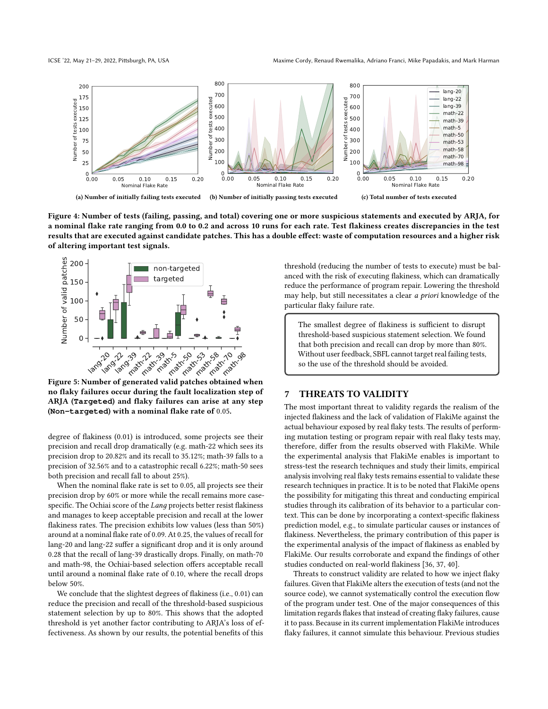ICSE '22, May 21-29, 2022, Pittsburgh, PA, USA Maxime Cordy, Renaud Rwemalika, Adriano Franci, Mike Papadakis, and Mark Harman

<span id="page-9-2"></span><span id="page-9-1"></span>

Figure 4: Number of tests (failing, passing, and total) covering one or more suspicious statements and executed by ARJA, for a nominal flake rate ranging from 0.0 to 0.2 and across 10 runs for each rate. Test flakiness creates discrepancies in the test results that are executed against candidate patches. This has a double effect: waste of computation resources and a higher risk of altering important test signals.

<span id="page-9-4"></span>

Figure 5: Number of generated valid patches obtained when no flaky failures occur during the fault localization step of ARJA (**Targeted**) and flaky failures can arise at any step (**Non-targeted**) with a nominal flake rate of 0.05.

degree of flakiness (0.01) is introduced, some projects see their precision and recall drop dramatically (e.g. math-22 which sees its precision drop to 20.82% and its recall to 35.12%; math-39 falls to a precision of 32.56% and to a catastrophic recall 6.22%; math-50 sees both precision and recall fall to about 25%).

When the nominal flake rate is set to 0.05, all projects see their precision drop by 60% or more while the recall remains more casespecific. The Ochiai score of the *Lang* projects better resist flakiness and manages to keep acceptable precision and recall at the lower flakiness rates. The precision exhibits low values (less than 50%) around at a nominal flake rate of 0.09. At 0.25, the values of recall for lang-20 and lang-22 suffer a significant drop and it is only around 0.28 that the recall of lang-39 drastically drops. Finally, on math-70 and math-98, the Ochiai-based selection offers acceptable recall until around a nominal flake rate of 0.10, where the recall drops below 50%.

We conclude that the slightest degrees of flakiness (i.e., 0.01) can reduce the precision and recall of the threshold-based suspicious statement selection by up to 80%. This shows that the adopted threshold is yet another factor contributing to ARJA's loss of effectiveness. As shown by our results, the potential benefits of this

<span id="page-9-3"></span>threshold (reducing the number of tests to execute) must be balanced with the risk of executing flakiness, which can dramatically reduce the performance of program repair. Lowering the threshold may help, but still necessitates a clear a priori knowledge of the particular flaky failure rate.

The smallest degree of flakiness is sufficient to disrupt threshold-based suspicious statement selection. We found that both precision and recall can drop by more than 80%. Without user feedback, SBFL cannot target real failing tests, so the use of the threshold should be avoided.

# <span id="page-9-0"></span>7 THREATS TO VALIDITY

The most important threat to validity regards the realism of the injected flakiness and the lack of validation of FlakiMe against the actual behaviour exposed by real flaky tests. The results of performing mutation testing or program repair with real flaky tests may, therefore, differ from the results observed with FlakiMe. While the experimental analysis that FlakiMe enables is important to stress-test the research techniques and study their limits, empirical analysis involving real flaky tests remains essential to validate these research techniques in practice. It is to be noted that FlakiMe opens the possibility for mitigating this threat and conducting empirical studies through its calibration of its behavior to a particular context. This can be done by incorporating a context-specific flakiness prediction model, e.g., to simulate particular causes or instances of flakiness. Nevertheless, the primary contribution of this paper is the experimental analysis of the impact of flakiness as enabled by FlakiMe. Our results corroborate and expand the findings of other studies conducted on real-world flakiness [\[36,](#page-11-31) [37,](#page-11-30) [40\]](#page-12-5).

Threats to construct validity are related to how we inject flaky failures. Given that FlakiMe alters the execution of tests (and not the source code), we cannot systematically control the execution flow of the program under test. One of the major consequences of this limitation regards flakes that instead of creating flaky failures, cause it to pass. Because in its current implementation FlakiMe introduces flaky failures, it cannot simulate this behaviour. Previous studies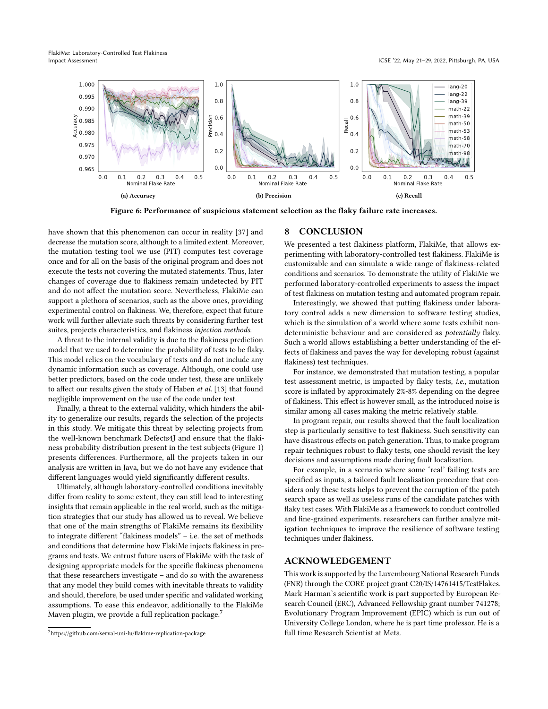FlakiMe: Laboratory-Controlled Test Flakiness Impact Assessment ICSE '22, May 21–29, 2022, Pittsburgh, PA, USA

<span id="page-10-1"></span><span id="page-10-0"></span>

Figure 6: Performance of suspicious statement selection as the flaky failure rate increases.

have shown that this phenomenon can occur in reality [\[37\]](#page-11-30) and decrease the mutation score, although to a limited extent. Moreover, the mutation testing tool we use (PIT) computes test coverage once and for all on the basis of the original program and does not execute the tests not covering the mutated statements. Thus, later changes of coverage due to flakiness remain undetected by PIT and do not affect the mutation score. Nevertheless, FlakiMe can support a plethora of scenarios, such as the above ones, providing experimental control on flakiness. We, therefore, expect that future work will further alleviate such threats by considering further test suites, projects characteristics, and flakiness injection methods.

A threat to the internal validity is due to the flakiness prediction model that we used to determine the probability of tests to be flaky. This model relies on the vocabulary of tests and do not include any dynamic information such as coverage. Although, one could use better predictors, based on the code under test, these are unlikely to affect our results given the study of Haben et al. [\[13\]](#page-11-11) that found negligible improvement on the use of the code under test.

Finally, a threat to the external validity, which hinders the ability to generalize our results, regards the selection of the projects in this study. We mitigate this threat by selecting projects from the well-known benchmark Defects4J and ensure that the flakiness probability distribution present in the test subjects (Figure [1\)](#page-4-0) presents differences. Furthermore, all the projects taken in our analysis are written in Java, but we do not have any evidence that different languages would yield significantly different results.

Ultimately, although laboratory-controlled conditions inevitably differ from reality to some extent, they can still lead to interesting insights that remain applicable in the real world, such as the mitigation strategies that our study has allowed us to reveal. We believe that one of the main strengths of FlakiMe remains its flexibility to integrate different "flakiness models" – i.e. the set of methods and conditions that determine how FlakiMe injects flakiness in programs and tests. We entrust future users of FlakiMe with the task of designing appropriate models for the specific flakiness phenomena that these researchers investigate – and do so with the awareness that any model they build comes with inevitable threats to validity and should, therefore, be used under specific and validated working assumptions. To ease this endeavor, additionally to the FlakiMe Maven plugin, we provide a full replication package.<sup>[7](#page-10-2)</sup>

## 8 CONCLUSION

We presented a test flakiness platform, FlakiMe, that allows experimenting with laboratory-controlled test flakiness. FlakiMe is customizable and can simulate a wide range of flakiness-related conditions and scenarios. To demonstrate the utility of FlakiMe we performed laboratory-controlled experiments to assess the impact of test flakiness on mutation testing and automated program repair.

Interestingly, we showed that putting flakiness under laboratory control adds a new dimension to software testing studies, which is the simulation of a world where some tests exhibit nondeterministic behaviour and are considered as potentially flaky. Such a world allows establishing a better understanding of the effects of flakiness and paves the way for developing robust (against flakiness) test techniques.

For instance, we demonstrated that mutation testing, a popular test assessment metric, is impacted by flaky tests, i.e., mutation score is inflated by approximately 2%-8% depending on the degree of flakiness. This effect is however small, as the introduced noise is similar among all cases making the metric relatively stable.

In program repair, our results showed that the fault localization step is particularly sensitive to test flakiness. Such sensitivity can have disastrous effects on patch generation. Thus, to make program repair techniques robust to flaky tests, one should revisit the key decisions and assumptions made during fault localization.

For example, in a scenario where some 'real' failing tests are specified as inputs, a tailored fault localisation procedure that considers only these tests helps to prevent the corruption of the patch search space as well as useless runs of the candidate patches with flaky test cases. With FlakiMe as a framework to conduct controlled and fine-grained experiments, researchers can further analyze mitigation techniques to improve the resilience of software testing techniques under flakiness.

# ACKNOWLEDGEMENT

This work is supported by the Luxembourg National Research Funds (FNR) through the CORE project grant C20/IS/14761415/TestFlakes. Mark Harman's scientific work is part supported by European Research Council (ERC), Advanced Fellowship grant number 741278; Evolutionary Program Improvement (EPIC) which is run out of University College London, where he is part time professor. He is a full time Research Scientist at Meta.

<span id="page-10-2"></span><sup>7</sup>https://github.com/serval-uni-lu/flakime-replication-package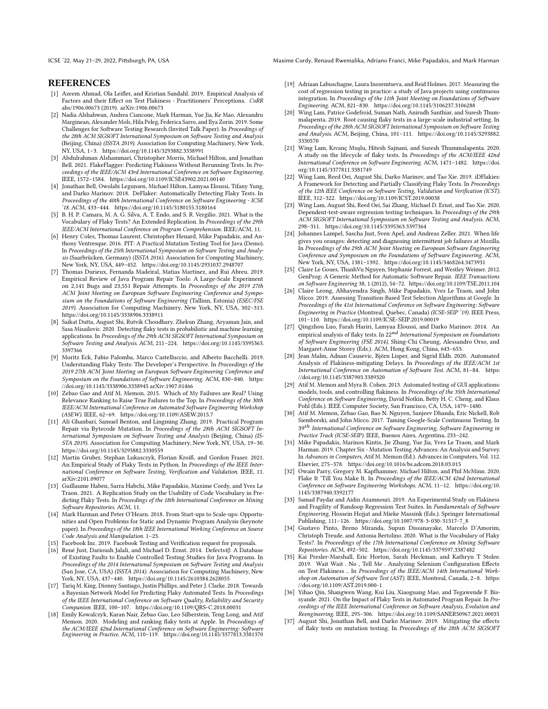ICSE '22, May 21-29, 2022, Pittsburgh, PA, USA Maxime Cordy, Renaud Rwemalika, Adriano Franci, Mike Papadakis, and Mark Harman

## **REFERENCES**

- <span id="page-11-14"></span>[1] Azeem Ahmad, Ola Leifler, and Kristian Sandahl. 2019. Empirical Analysis of Factors and their Effect on Test Flakiness - Practitioners' Perceptions. CoRR abs/1906.00673 (2019). arXiv[:1906.00673](https://arxiv.org/abs/1906.00673)
- <span id="page-11-5"></span>[2] Nadia Alshahwan, Andrea Ciancone, Mark Harman, Yue Jia, Ke Mao, Alexandru Marginean, Alexander Mols, Hila Peleg, Federica Sarro, and Ilya Zorin. 2019. Some Challenges for Software Testing Research (Invited Talk Paper). In Proceedings of the 28th ACM SIGSOFT International Symposium on Software Testing and Analysis (Beijing, China) (ISSTA 2019). Association for Computing Machinery, New York, NY, USA, 1–3.<https://doi.org/10.1145/3293882.3338991>
- <span id="page-11-28"></span>[3] Abdulrahman Alshammari, Christopher Morris, Michael Hilton, and Jonathan Bell. 2021. FlakeFlagger: Predicting Flakiness Without Rerunning Tests. In Proceedings of the IEEE/ACM 43rd International Conference on Software Engineering. IEEE, 1572–1584.<https://doi.org/10.1109/ICSE43902.2021.00140>
- <span id="page-11-19"></span>[4] Jonathan Bell, Owolabi Legunsen, Michael Hilton, Lamyaa Eloussi, Tifany Yung, and Darko Marinov. 2018. DeFlaker: Automatically Detecting Flaky Tests. In Proceedings of the 40th International Conference on Software Engineering - ICSE '18. ACM, 433–444.<https://doi.org/10.1145/3180155.3180164>
- <span id="page-11-10"></span>[5] B. H. P. Camara, M. A. G. Silva, A. T. Endo, and S. R. Vergilio. 2021. What is the Vocabulary of Flaky Tests? An Extended Replication. In Proceedings of the 29th IEEE/ACM International Conference on Program Comprehension. IEEE/ACM, 11.
- <span id="page-11-8"></span>[6] Henry Coles, Thomas Laurent, Christopher Henard, Mike Papadakis, and Anthony Ventresque. 2016. PIT: A Practical Mutation Testing Tool for Java (Demo). In Proceedings of the 25th International Symposium on Software Testing and Analysis (Saarbrücken, Germany) (ISSTA 2016). Association for Computing Machinery, New York, NY, USA, 449–452.<https://doi.org/10.1145/2931037.2948707>
- <span id="page-11-33"></span>[7] Thomas Durieux, Fernanda Madeiral, Matias Martinez, and Rui Abreu. 2019. Empirical Review of Java Program Repair Tools: A Large-Scale Experiment on 2,141 Bugs and 23,551 Repair Attempts. In Proceedings of the 2019 27th ACM Joint Meeting on European Software Engineering Conference and Symposium on the Foundations of Software Engineering (Tallinn, Estonia) (ESEC/FSE 2019). Association for Computing Machinery, New York, NY, USA, 302–313. <https://doi.org/10.1145/3338906.3338911>
- <span id="page-11-15"></span>[8] Saikat Dutta, August Shi, Rutvik Choudhary, Zhekun Zhang, Aryaman Jain, and Sasa Misailovic. 2020. Detecting flaky tests in probabilistic and machine learning applications. In Proceedings of the 29th ACM SIGSOFT International Symposium on Software Testing and Analysis. ACM, 211–224. [https://doi.org/10.1145/3395363.](https://doi.org/10.1145/3395363.3397366) [3397366](https://doi.org/10.1145/3395363.3397366)
- <span id="page-11-16"></span>[9] Moritz Eck, Fabio Palomba, Marco Castelluccio, and Alberto Bacchelli. 2019. Understanding Flaky Tests: The Developer's Perspective. In Proceedings of the 2019 27th ACM Joint Meeting on European Software Engineering Conference and Symposium on the Foundations of Software Engineering. ACM, 830–840. [https:](https://doi.org/10.1145/3338906.3338945) [//doi.org/10.1145/3338906.3338945](https://doi.org/10.1145/3338906.3338945) arXiv[:1907.01466](https://arxiv.org/abs/1907.01466)
- <span id="page-11-23"></span>[10] Zebao Gao and Atif M. Memon. 2015. Which of My Failures are Real? Using Relevance Ranking to Raise True Failures to the Top. In Proceedings of the 30th IEEE/ACM International Conference on Automated Software Engineering Workshop (ASEW). IEEE, 62–69.<https://doi.org/10.1109/ASEW.2015.7>
- <span id="page-11-9"></span>[11] Ali Ghanbari, Samuel Benton, and Lingming Zhang. 2019. Practical Program Repair via Bytecode Mutation. In Proceedings of the 28th ACM SIGSOFT International Symposium on Software Testing and Analysis (Beijing, China) (IS-STA 2019). Association for Computing Machinery, New York, NY, USA, 19–30. <https://doi.org/10.1145/3293882.3330559>
- <span id="page-11-21"></span>[12] Martin Gruber, Stephan Lukasczyk, Florian Kroiß, and Gordon Fraser. 2021. An Empirical Study of Flaky Tests in Python. In Proceedings of the IEEE International Conference on Software Testing, Verification and Validation. IEEE, 11. arXiv[:2101.09077](https://arxiv.org/abs/2101.09077)
- <span id="page-11-11"></span>[13] Guillaume Haben, Sarra Habchi, Mike Papadakis, Maxime Cordy, and Yves Le Traon. 2021. A Replication Study on the Usability of Code Vocabulary in Predicting Flaky Tests. In Proceedings of the 18th International Conference on Mining Software Repositories. ACM, 11.
- <span id="page-11-0"></span>[14] Mark Harman and Peter O'Hearn. 2018. From Start-ups to Scale-ups: Opportunities and Open Problems for Static and Dynamic Program Analysis (keynote paper). In Proceedings of the 18th IEEE International Working Conference on Source Code Analysis and Manipulation. 1–23.
- <span id="page-11-4"></span>[15] Facebook Inc. 2019. Facebook Testing and Verification request for proposals.
- <span id="page-11-35"></span>[16] René Just, Darioush Jalali, and Michael D. Ernst. 2014. Defects4J: A Database of Existing Faults to Enable Controlled Testing Studies for Java Programs. In Proceedings of the 2014 International Symposium on Software Testing and Analysis (San Jose, CA, USA) (ISSTA 2014). Association for Computing Machinery, New York, NY, USA, 437–440.<https://doi.org/10.1145/2610384.2628055>
- <span id="page-11-27"></span>[17] Tariq M. King, Dionny Santiago, Justin Phillips, and Peter J. Clarke. 2018. Towards a Bayesian Network Model for Predicting Flaky Automated Tests. In Proceedings of the IEEE International Conference on Software Quality, Reliability and Security Companion. IEEE, 100–107.<https://doi.org/10.1109/QRS-C.2018.00031>
- <span id="page-11-20"></span>[18] Emily Kowalczyk, Karan Nair, Zebao Gao, Leo Silberstein, Teng Long, and Atif Memon. 2020. Modeling and ranking flaky tests at Apple. In Proceedings of the ACM/IEEE 42nd International Conference on Software Engineering: Software Engineering in Practice. ACM, 110–119.<https://doi.org/10.1145/3377813.3381370>
- [19] Adriaan Labuschagne, Laura Inozemtseva, and Reid Holmes. 2017. Measuring the cost of regression testing in practice: a study of Java projects using continuous integration. In Proceedings of the 11th Joint Meeting on Foundations of Software Engineering. ACM, 821–830.<https://doi.org/10.1145/3106237.3106288>
- <span id="page-11-1"></span>[20] Wing Lam, Patrice Godefroid, Suman Nath, Anirudh Santhiar, and Suresh Thummalapenta. 2019. Root causing flaky tests in a large-scale industrial setting. In Proceedings of the 28th ACM SIGSOFT International Symposium on Software Testing and Analysis. ACM, Beijing, China, 101–111. [https://doi.org/10.1145/3293882.](https://doi.org/10.1145/3293882.3330570) [3330570](https://doi.org/10.1145/3293882.3330570)
- <span id="page-11-17"></span>[21] Wing Lam, Kıvanç Muşlu, Hitesh Sajnani, and Suresh Thummalapenta. 2020. A study on the lifecycle of flaky tests. In Proceedings of the ACM/IEEE 42nd International Conference on Software Engineering. ACM, 1471–1482. [https://doi.](https://doi.org/10.1145/3377811.3381749) [org/10.1145/3377811.3381749](https://doi.org/10.1145/3377811.3381749)
- <span id="page-11-24"></span>[22] Wing Lam, Reed Oei, August Shi, Darko Marinov, and Tao Xie. 2019. iDFlakies: A Framework for Detecting and Partially Classifying Flaky Tests. In Proceedings of the 12th IEEE Conference on Software Testing, Validation and Verification (ICST). IEEE, 312–322.<https://doi.org/10.1109/ICST.2019.00038>
- <span id="page-11-6"></span>[23] Wing Lam, August Shi, Reed Oei, Sai Zhang, Michael D. Ernst, and Tao Xie. 2020. Dependent-test-aware regression testing techniques. In Proceedings of the 29th ACM SIGSOFT International Symposium on Software Testing and Analysis. ACM, 298–311.<https://doi.org/10.1145/3395363.3397364>
- <span id="page-11-29"></span>[24] Johannes Lampel, Sascha Just, Sven Apel, and Andreas Zeller. 2021. When life gives you oranges: detecting and diagnosing intermittent job failures at Mozilla. In Proceedings of the 29th ACM Joint Meeting on European Software Engineering Conference and Symposium on the Foundations of Software Engineering. ACM, New York, NY, USA, 1381–1392.<https://doi.org/10.1145/3468264.3473931>
- <span id="page-11-34"></span>[25] Claire Le Goues, ThanhVu Nguyen, Stephanie Forrest, and Westley Weimer. 2012. GenProg: A Generic Method for Automatic Software Repair. IEEE Transactions on Software Engineering 38, 1 (2012), 54–72.<https://doi.org/10.1109/TSE.2011.104>
- <span id="page-11-2"></span>[26] Claire Leong, Abhayendra Singh, Mike Papadakis, Yves Le Traon, and John Micco. 2019. Assessing Transition-Based Test Selection Algorithms at Google. In Proceedings of the 41st International Conference on Software Engineering: Software Engineering in Practice (Montreal, Quebec, Canada) (ICSE-SEIP '19). IEEE Press, 101–110.<https://doi.org/10.1109/ICSE-SEIP.2019.00019>
- <span id="page-11-13"></span>[27] Qingzhou Luo, Farah Hariri, Lamyaa Eloussi, and Darko Marinov. 2014. An empirical analysis of flaky tests. In  $22^{nd}$  International Symposium on Foundations of Software Engineering (FSE 2014), Shing-Chi Cheung, Alessandro Orso, and Margaret-Anne Storey (Eds.). ACM, Hong Kong, China, 643–653.
- <span id="page-11-25"></span>[28] Jean Malm, Adnan Causevic, Björn Lisper, and Sigrid Eldh. 2020. Automated Analysis of Flakiness-mitigating Delays. In Proceedings of the IEEE/ACM 1st International Conference on Automation of Software Test. ACM, 81–84. [https:](https://doi.org/10.1145/3387903.3389320) [//doi.org/10.1145/3387903.3389320](https://doi.org/10.1145/3387903.3389320)
- <span id="page-11-7"></span>[29] Atif M. Memon and Myra B. Cohen. 2013. Automated testing of GUI applications: models, tools, and controlling flakiness. In Proceedings of the 35th International Conference on Software Engineering, David Notkin, Betty H. C. Cheng, and Klaus Pohl (Eds.). IEEE Computer Society, San Francisco, CA, USA, 1479–1480.
- <span id="page-11-3"></span>[30] Atif M. Memon, Zebao Gao, Bao N. Nguyen, Sanjeev Dhanda, Eric Nickell, Rob Siemborski, and John Micco. 2017. Taming Google-Scale Continuous Testing. In 39<sup>th</sup> International Conference on Software Engineering, Software Engineering in Practice Track (ICSE-SEIP). IEEE, Buenos Aires, Argentina, 233–242.
- <span id="page-11-32"></span>[31] Mike Papadakis, Marinos Kintis, Jie Zhang, Yue Jia, Yves Le Traon, and Mark Harman. 2019. Chapter Six - Mutation Testing Advances: An Analysis and Survey. In Advances in Computers, Atif M. Memon (Ed.). Advances in Computers, Vol. 112. Elsevier, 275–378.<https://doi.org/10.1016/bs.adcom.2018.03.015>
- <span id="page-11-26"></span>[32] Owain Parry, Gregory M. Kapfhammer, Michael Hilton, and Phil McMinn. 2020. Flake It 'Till You Make It. In Proceedings of the IEEE/ACM 42nd International Conference on Software Engineering Workshops. ACM, 11–12. [https://doi.org/10.](https://doi.org/10.1145/3387940.3392177) [1145/3387940.3392177](https://doi.org/10.1145/3387940.3392177)
- <span id="page-11-22"></span>[33] Samad Paydar and Aidin Azamnouri. 2019. An Experimental Study on Flakiness and Fragility of Randoop Regression Test Suites. In Fundamentals of Software Engineering, Hossein Hojjat and Mieke Massink (Eds.). Springer International Publishing, 111–126. [https://doi.org/10.1007/978-3-030-31517-7\\_8](https://doi.org/10.1007/978-3-030-31517-7_8)
- <span id="page-11-12"></span>[34] Gustavo Pinto, Breno Miranda, Supun Dissanayake, Marcelo D'Amorim, Christoph Treude, and Antonia Bertolino. 2020. What is the Vocabulary of Flaky Tests?. In Proceedings of the 17th International Conference on Mining Software Repositories. ACM, 492–502.<https://doi.org/10.1145/3379597.3387482>
- <span id="page-11-18"></span>[35] Kai Presler-Marshall, Eric Horton, Sarah Heckman, and Kathryn T Stolee. 2019. Wait Wait . No , Tell Me . Analyzing Selenium Configuration Effects on Test Flakiness .. In Proceedings of the IEEE/ACM 14th International Workshop on Automation of Software Test (AST). IEEE, Montreal, Canada, 2–8. [https:](https://doi.org/10.1109/AST.2019.000-1) [//doi.org/10.1109/AST.2019.000-1](https://doi.org/10.1109/AST.2019.000-1)
- <span id="page-11-31"></span>[36] Yihao Qin, Shangwen Wang, Kui Liu, Xiaoguang Mao, and Tegawende F. Bissyande. 2021. On the Impact of Flaky Tests in Automated Program Repair. In Proceedings of the IEEE International Conference on Software Analysis, Evolution and Reengineering. IEEE, 295–306.<https://doi.org/10.1109/SANER50967.2021.00035>
- <span id="page-11-30"></span>[37] August Shi, Jonathan Bell, and Darko Marinov. 2019. Mitigating the effects of flaky tests on mutation testing. In Proceedings of the 28th ACM SIGSOFT